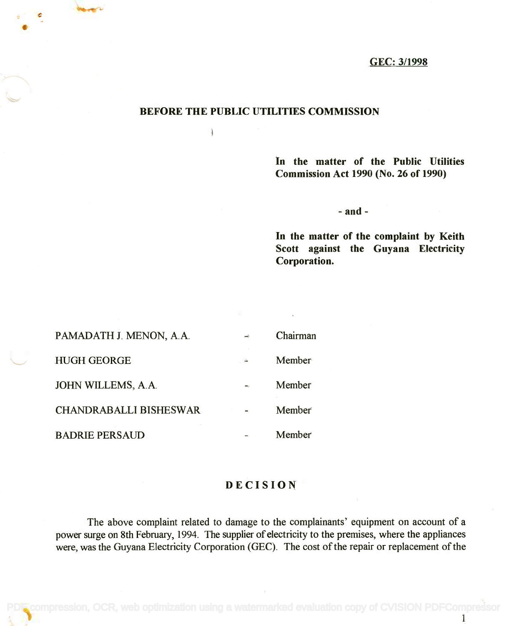## GEC: 3/1998

## BEFORE THE PUBLIC UTILITIES COMMISSION

ł

In the matter of the Public Utilities **In the matter of the Public Utilities** Commission Act 1990 (No. 26 of 1990) **Commission Act 1990 (No. 26 of 1990)**

- and -

In the matter of the complaint by Keith **In the matter of the complaint by Keith** Scott against the Guyana Electricity **Scott against the Guyana Electricity** Corporation. **Corporation.**

| PAMADATH J. MENON, A.A.       | Chairman |
|-------------------------------|----------|
| <b>HUGH GEORGE</b>            | Member   |
| <b>JOHN WILLEMS, A.A.</b>     | Member   |
| <b>CHANDRABALLI BISHESWAR</b> | Member   |
| <b>BADRIE PERSAUD</b>         | Member   |

## DECISION

The above complaint related to damage to the complainants' equipment on account of a The above complaint related to damage to the complainants' equipment on account of a power surge on 8th February, 1994. The supplier of electricity to the premises, where the appliances power surge on 8th February, 1994. The supplier of electricity to the premises, where the appliances were, was the Guyana Electricity Corporation (GEC). The cost of the repair or replacement of the were, was the Guyana Electricity Corporation (GEC). The cost of the repair or replacement of the

 $\epsilon$  compression, OCR, web optimization using a watermarked evaluation copy of CVISION PDFCompress

1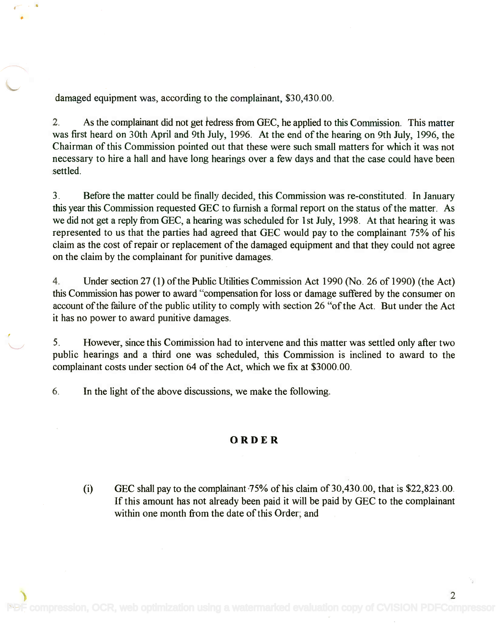damaged equipment was, according to the complainant, \$30,430.00.

2. As the complainant did not get redress from GEC, he applied to this Commission. This matter was first heard on 30th April and 9th July, 1996. At the end of the hearing on 9th July, 1996, the was first heard on 30th April and 9th July, 1996. At the end of the hearing on 9th July, 1996, the Chairman of this Commission pointed out that these were such small matters for which it was not Chairman of this Commission pointed out that these were such small matters for which it was not necessary to hire a hall and have long hearings over a few days and that the case could have been necessary to hire a hall and have long hearings over a few days and that the case could have been settled. settled.

3. Before the matter could be finally decided, this Commission was re-constituted. In January 3. Before the matter could be finally decided, this Commission was re-constituted. In January this year this Commission requested GEC to furnish a formal report on the status of the matter. As this year this Commission requested GEC to furnish a formal report on the status of the matter. As we did not get a reply from GEC, a hearing was scheduled for 1st July, 1998. At that hearing it was we did not get a reply from GEC, a hearing was scheduled for 1st July, 1998. At that hearing it was represented to us that the parties had agreed that GEC would pay to the complainant 75% of his represented to us that the parties had agreed that GEC would pay to the complainant 75% of his claim as the cost of repair or replacement of the damaged equipment and that they could not agree claim as the cost of repair or replacement of the damaged equipment and that they could not agree on the claim by the complainant for punitive damages. on the claim by the complainant for punitive damages.

4. Under section 27 (1) of the Public Utilities Commission Act 1990 (No. 26 of 1990) (the Act) 4. Under section 27 (1) of the Public Utilities Commission Act 1990 (No. 26 of 1990) (the Act) this Commission has power to award "compensation for loss or damage suffered by the consumer on this Commission has power to award "compensation for loss or damage suffered by the consumer on account of the failure of the public utility to comply with section 26 "of the Act. But under the Act account of the failure of the public utility to comply with section 26 "of the Act. But under the Act it has no power to award punitive damages. it has no power to award punitive damages.

5. However, since this Commission had to intervene and this matter was settled only after two 5. However, since this Commission had to intervene and this matter was settled only after two public hearings and a third one was scheduled, this Commission is inclined to award to the public hearings and a third one was scheduled, this Commission is inclined to award to the complainant costs under section 64 of the Act, which we fix at \$3000.00. complainant costs under section 64 of the Act, which we fix at \$3000.00.

6. In the light of the above discussions, we make the following.

## ORDER

(i) GEC shall pay to the complainant  $75%$  of his claim of 30,430.00, that is \$22,823.00. If this amount has not already been paid it will be paid by GEC to the complainant If this amount has not already been paid it will be paid by GEC to the complainant within one month from the date of this Order; and